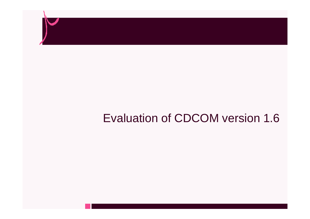

#### Evaluation of CDCOM version 1.6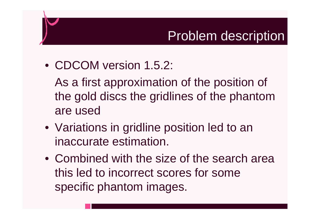#### Problem description

• CDCOM version 1.5.2:

As a first approximation of the position of the gold discs the gridlines of the phantom are used

- Variations in gridline position led to an inaccurate estimation.
- Combined with the size of the search area this led to incorrect scores for some specific phantom images.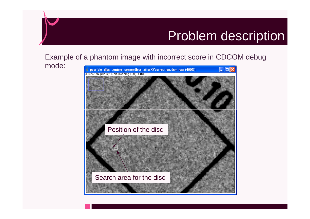#### Problem description

#### Example of a phantom image with incorrect score in CDCOM debug

mode:

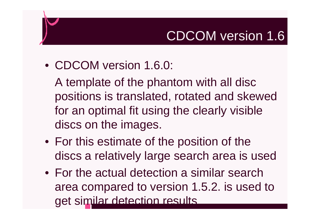# CDCOM version 1.6

• CDCOM version 1.6.0:

A template of the phantom with all disc positions is translated, rotated and skewed for an optimal fit using the clearly visible discs on the images.

- For this estimate of the position of the discs a relatively large search area is used
- For the actual detection a similar search area compared to version 1.5.2. is used to get similar detection results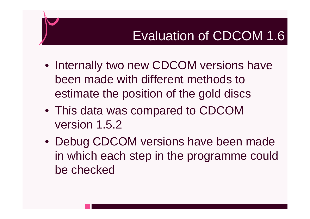- Internally two new CDCOM versions have been made with different methods to estimate the position of the gold discs
- This data was compared to CDCOM version 1.5.2
- Debug CDCOM versions have been made in which each step in the programme could be checked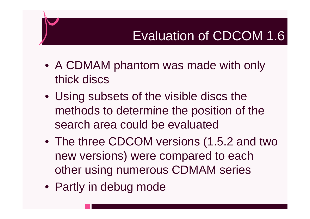- A CDMAM phantom was made with only thick discs
- Using subsets of the visible discs the methods to determine the position of the search area could be evaluated
- The three CDCOM versions (1.5.2 and two new versions) were compared to each other using numerous CDMAM series
- Partly in debug mode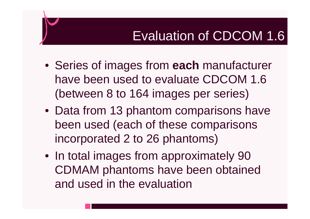- Series of images from **each** manufacturer have been used to evaluate CDCOM 1.6 (between 8 to 164 images per series)
- Data from 13 phantom comparisons have been used (each of these comparisons incorporated 2 to 26 phantoms)
- In total images from approximately 90 CDMAM phantoms have been obtained and used in the evaluation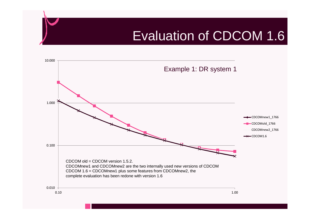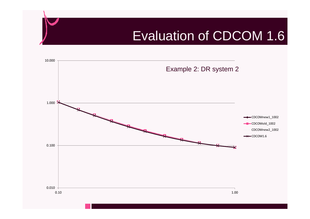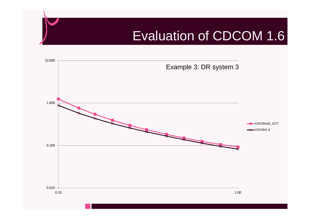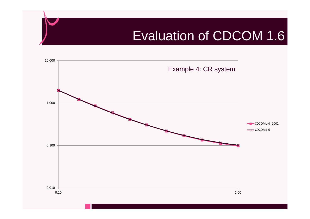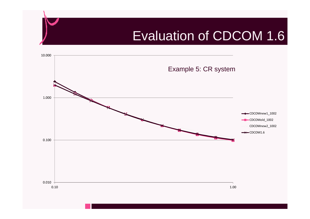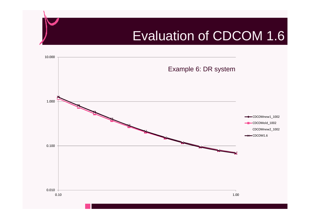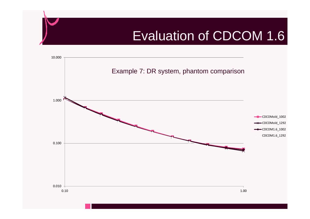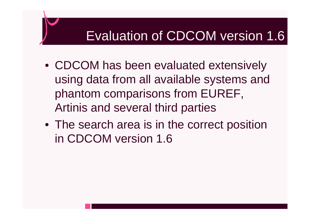# Evaluation of CDCOM version 1.6

- CDCOM has been evaluated extensively using data from all available systems and phantom comparisons from EUREF, Artinis and several third parties
- The search area is in the correct position in CDCOM version 1.6